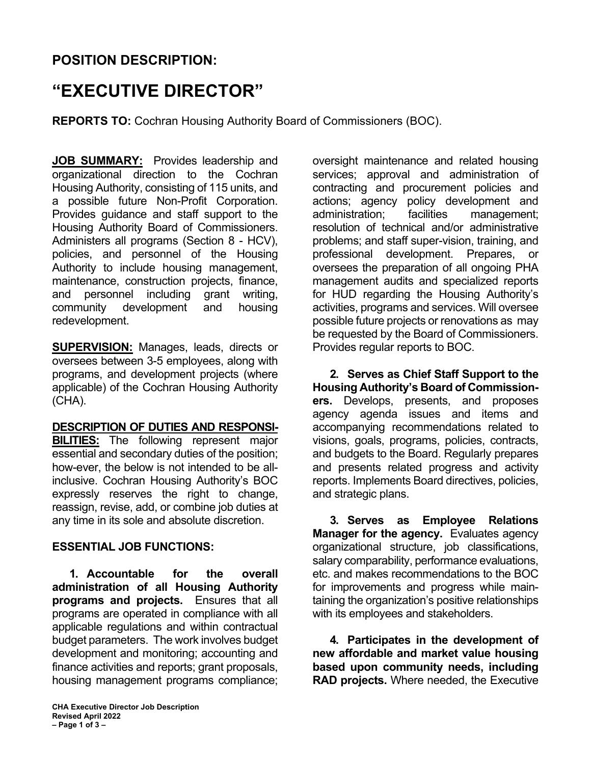## **POSITION DESCRIPTION:**

# **"EXECUTIVE DIRECTOR"**

**REPORTS TO:** Cochran Housing Authority Board of Commissioners (BOC).

**JOB SUMMARY:** Provides leadership and organizational direction to the Cochran Housing Authority, consisting of 115 units, and a possible future Non-Profit Corporation. Provides guidance and staff support to the Housing Authority Board of Commissioners. Administers all programs (Section 8 - HCV), policies, and personnel of the Housing Authority to include housing management, maintenance, construction projects, finance, and personnel including grant writing, community development and housing redevelopment.

**SUPERVISION:** Manages, leads, directs or oversees between 3-5 employees, along with programs, and development projects (where applicable) of the Cochran Housing Authority (CHA).

#### **DESCRIPTION OF DUTIES AND RESPONSI-**

**BILITIES:** The following represent major essential and secondary duties of the position; how-ever, the below is not intended to be allinclusive. Cochran Housing Authority's BOC expressly reserves the right to change, reassign, revise, add, or combine job duties at any time in its sole and absolute discretion.

#### **ESSENTIAL JOB FUNCTIONS:**

**1. Accountable for the overall administration of all Housing Authority programs and projects.** Ensures that all programs are operated in compliance with all applicable regulations and within contractual budget parameters. The work involves budget development and monitoring; accounting and finance activities and reports; grant proposals, housing management programs compliance;

oversight maintenance and related housing services; approval and administration of contracting and procurement policies and actions; agency policy development and administration; facilities management; resolution of technical and/or administrative problems; and staff super-vision, training, and professional development. Prepares, or oversees the preparation of all ongoing PHA management audits and specialized reports for HUD regarding the Housing Authority's activities, programs and services. Will oversee possible future projects or renovations as may be requested by the Board of Commissioners. Provides regular reports to BOC.

**2. Serves as Chief Staff Support to the Housing Authority's Board of Commissioners.** Develops, presents, and proposes agency agenda issues and items and accompanying recommendations related to visions, goals, programs, policies, contracts, and budgets to the Board. Regularly prepares and presents related progress and activity reports. Implements Board directives, policies, and strategic plans.

**3. Serves as Employee Relations Manager for the agency.** Evaluates agency organizational structure, job classifications, salary comparability, performance evaluations, etc. and makes recommendations to the BOC for improvements and progress while maintaining the organization's positive relationships with its employees and stakeholders.

**4. Participates in the development of new affordable and market value housing based upon community needs, including RAD projects.** Where needed, the Executive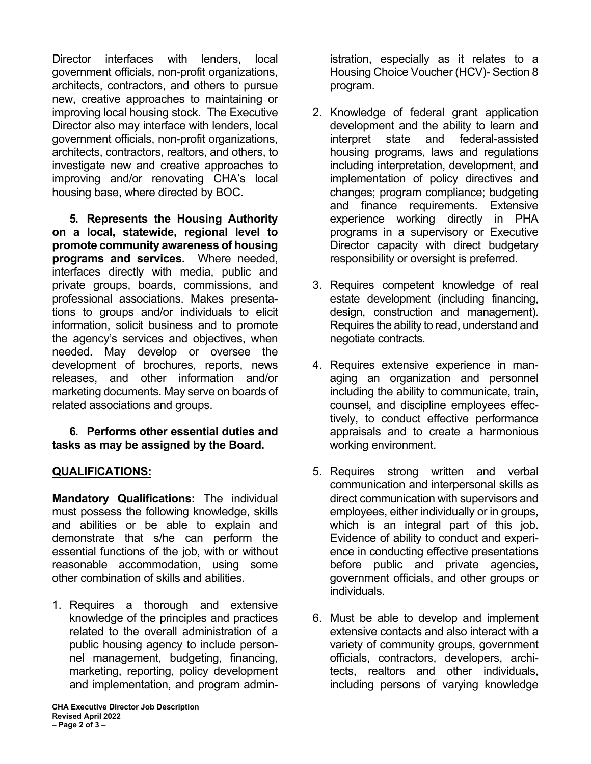Director interfaces with lenders, local government officials, non-profit organizations, architects, contractors, and others to pursue new, creative approaches to maintaining or improving local housing stock. The Executive Director also may interface with lenders, local government officials, non-profit organizations, architects, contractors, realtors, and others, to investigate new and creative approaches to improving and/or renovating CHA's local housing base, where directed by BOC.

**5. Represents the Housing Authority on a local, statewide, regional level to promote community awareness of housing programs and services.** Where needed, interfaces directly with media, public and private groups, boards, commissions, and professional associations. Makes presentations to groups and/or individuals to elicit information, solicit business and to promote the agency's services and objectives, when needed. May develop or oversee the development of brochures, reports, news releases, and other information and/or marketing documents. May serve on boards of related associations and groups.

#### **6. Performs other essential duties and tasks as may be assigned by the Board.**

### **QUALIFICATIONS:**

**Mandatory Qualifications:** The individual must possess the following knowledge, skills and abilities or be able to explain and demonstrate that s/he can perform the essential functions of the job, with or without reasonable accommodation, using some other combination of skills and abilities.

1. Requires a thorough and extensive knowledge of the principles and practices related to the overall administration of a public housing agency to include personnel management, budgeting, financing, marketing, reporting, policy development and implementation, and program admin-

istration, especially as it relates to a Housing Choice Voucher (HCV)- Section 8 program.

- 2. Knowledge of federal grant application development and the ability to learn and interpret state and federal-assisted housing programs, laws and regulations including interpretation, development, and implementation of policy directives and changes; program compliance; budgeting and finance requirements. Extensive experience working directly in PHA programs in a supervisory or Executive Director capacity with direct budgetary responsibility or oversight is preferred.
- 3. Requires competent knowledge of real estate development (including financing, design, construction and management). Requires the ability to read, understand and negotiate contracts.
- 4. Requires extensive experience in managing an organization and personnel including the ability to communicate, train, counsel, and discipline employees effectively, to conduct effective performance appraisals and to create a harmonious working environment.
- 5. Requires strong written and verbal communication and interpersonal skills as direct communication with supervisors and employees, either individually or in groups, which is an integral part of this job. Evidence of ability to conduct and experience in conducting effective presentations before public and private agencies, government officials, and other groups or individuals.
- 6. Must be able to develop and implement extensive contacts and also interact with a variety of community groups, government officials, contractors, developers, architects, realtors and other individuals, including persons of varying knowledge